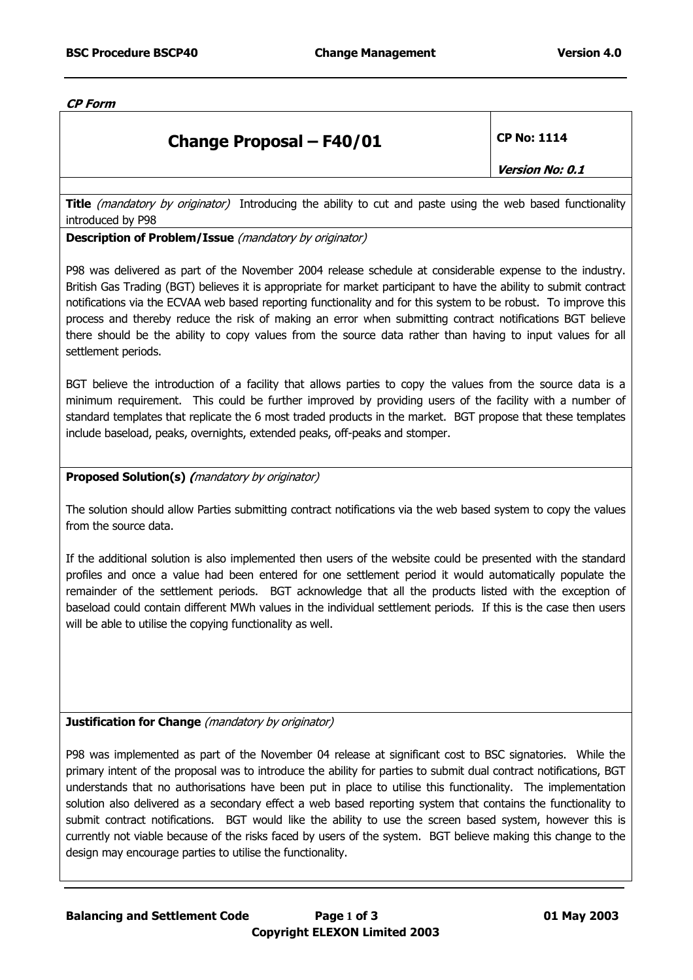**CP Form** 

## **Change Proposal – F40/01** CP No: 1114

**Version No: 0.1** 

**Title** (mandatory by originator) Introducing the ability to cut and paste using the web based functionality introduced by P98

## **Description of Problem/Issue** (mandatory by originator)

P98 was delivered as part of the November 2004 release schedule at considerable expense to the industry. British Gas Trading (BGT) believes it is appropriate for market participant to have the ability to submit contract notifications via the ECVAA web based reporting functionality and for this system to be robust. To improve this process and thereby reduce the risk of making an error when submitting contract notifications BGT believe there should be the ability to copy values from the source data rather than having to input values for all settlement periods.

BGT believe the introduction of a facility that allows parties to copy the values from the source data is a minimum requirement. This could be further improved by providing users of the facility with a number of standard templates that replicate the 6 most traded products in the market. BGT propose that these templates include baseload, peaks, overnights, extended peaks, off-peaks and stomper.

## **Proposed Solution(s) (**mandatory by originator)

The solution should allow Parties submitting contract notifications via the web based system to copy the values from the source data.

If the additional solution is also implemented then users of the website could be presented with the standard profiles and once a value had been entered for one settlement period it would automatically populate the remainder of the settlement periods. BGT acknowledge that all the products listed with the exception of baseload could contain different MWh values in the individual settlement periods. If this is the case then users will be able to utilise the copying functionality as well.

## **Justification for Change** (mandatory by originator)

P98 was implemented as part of the November 04 release at significant cost to BSC signatories. While the primary intent of the proposal was to introduce the ability for parties to submit dual contract notifications, BGT understands that no authorisations have been put in place to utilise this functionality. The implementation solution also delivered as a secondary effect a web based reporting system that contains the functionality to submit contract notifications. BGT would like the ability to use the screen based system, however this is currently not viable because of the risks faced by users of the system. BGT believe making this change to the design may encourage parties to utilise the functionality.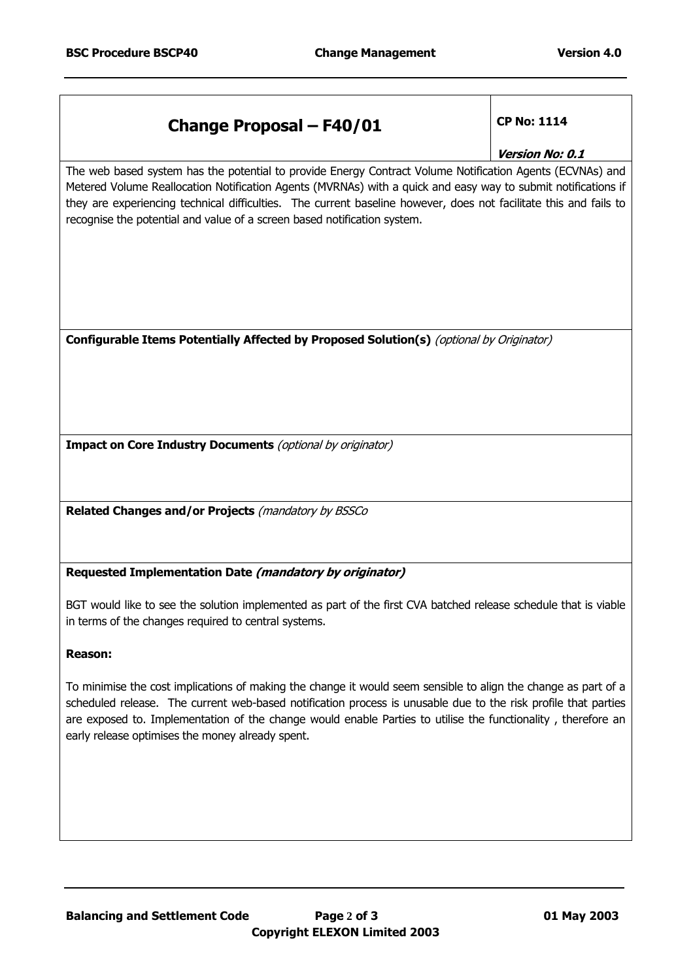| <b>Change Proposal - F40/01</b>                                                                                                                                                                                                                                                                                                                                                                                             | <b>CP No: 1114</b><br>Version No: 0.1 |
|-----------------------------------------------------------------------------------------------------------------------------------------------------------------------------------------------------------------------------------------------------------------------------------------------------------------------------------------------------------------------------------------------------------------------------|---------------------------------------|
| The web based system has the potential to provide Energy Contract Volume Notification Agents (ECVNAs) and<br>Metered Volume Reallocation Notification Agents (MVRNAs) with a quick and easy way to submit notifications if<br>they are experiencing technical difficulties. The current baseline however, does not facilitate this and fails to<br>recognise the potential and value of a screen based notification system. |                                       |
| Configurable Items Potentially Affected by Proposed Solution(s) (optional by Originator)                                                                                                                                                                                                                                                                                                                                    |                                       |
| Impact on Core Industry Documents (optional by originator)                                                                                                                                                                                                                                                                                                                                                                  |                                       |
| Related Changes and/or Projects (mandatory by BSSCo                                                                                                                                                                                                                                                                                                                                                                         |                                       |
| Requested Implementation Date (mandatory by originator)                                                                                                                                                                                                                                                                                                                                                                     |                                       |
| BGT would like to see the solution implemented as part of the first CVA batched release schedule that is viable<br>in terms of the changes required to central systems.                                                                                                                                                                                                                                                     |                                       |
| <b>Reason:</b>                                                                                                                                                                                                                                                                                                                                                                                                              |                                       |
| To minimise the cost implications of making the change it would seem sensible to align the change as part of a<br>scheduled release. The current web-based notification process is unusable due to the risk profile that parties<br>are exposed to. Implementation of the change would enable Parties to utilise the functionality, therefore an                                                                            |                                       |

early release optimises the money already spent.